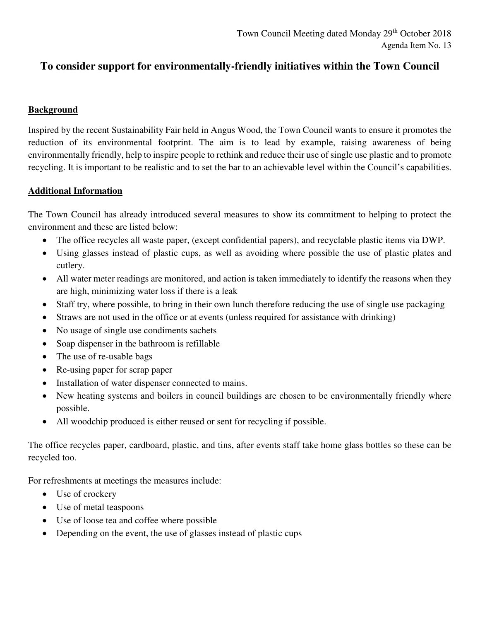## **To consider support for environmentally-friendly initiatives within the Town Council**

## **Background**

Inspired by the recent Sustainability Fair held in Angus Wood, the Town Council wants to ensure it promotes the reduction of its environmental footprint. The aim is to lead by example, raising awareness of being environmentally friendly, help to inspire people to rethink and reduce their use of single use plastic and to promote recycling. It is important to be realistic and to set the bar to an achievable level within the Council's capabilities.

## **Additional Information**

The Town Council has already introduced several measures to show its commitment to helping to protect the environment and these are listed below:

- The office recycles all waste paper, (except confidential papers), and recyclable plastic items via DWP.
- Using glasses instead of plastic cups, as well as avoiding where possible the use of plastic plates and cutlery.
- All water meter readings are monitored, and action is taken immediately to identify the reasons when they are high, minimizing water loss if there is a leak
- Staff try, where possible, to bring in their own lunch therefore reducing the use of single use packaging
- Straws are not used in the office or at events (unless required for assistance with drinking)
- No usage of single use condiments sachets
- Soap dispenser in the bathroom is refillable
- The use of re-usable bags
- Re-using paper for scrap paper
- Installation of water dispenser connected to mains.
- New heating systems and boilers in council buildings are chosen to be environmentally friendly where possible.
- All woodchip produced is either reused or sent for recycling if possible.

The office recycles paper, cardboard, plastic, and tins, after events staff take home glass bottles so these can be recycled too.

For refreshments at meetings the measures include:

- Use of crockery
- Use of metal teaspoons
- Use of loose tea and coffee where possible
- Depending on the event, the use of glasses instead of plastic cups